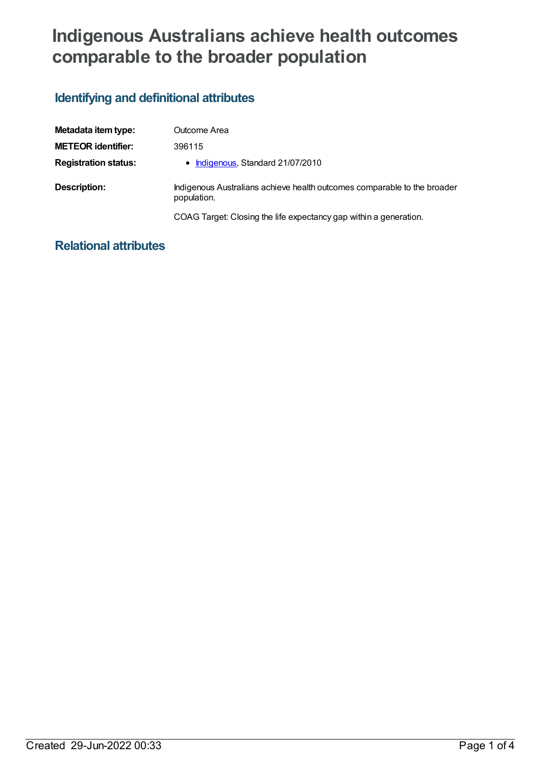## **Indigenous Australians achieve health outcomes comparable to the broader population**

## **Identifying and definitional attributes**

| Outcome Area                                                                            |
|-----------------------------------------------------------------------------------------|
| 396115                                                                                  |
| • Indigenous, Standard 21/07/2010                                                       |
| Indigenous Australians achieve health outcomes comparable to the broader<br>population. |
| COAG Target: Closing the life expectancy gap within a generation.                       |
|                                                                                         |

## **Relational attributes**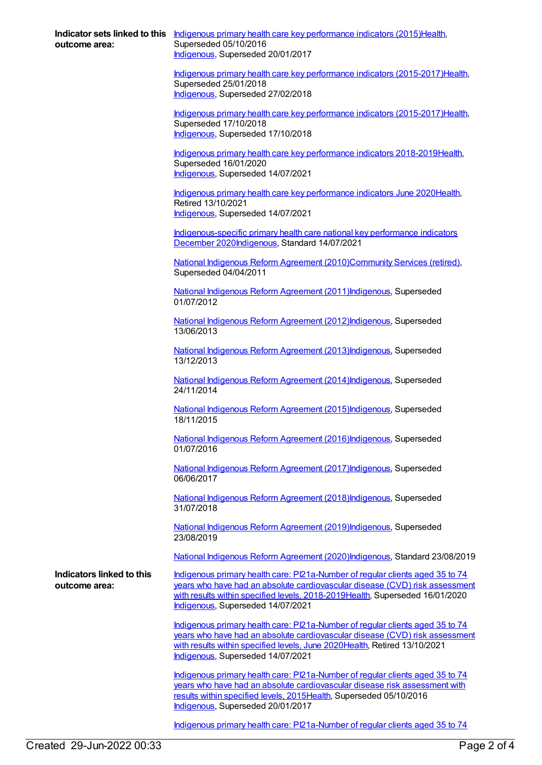| Indicator sets linked to this |  |  |
|-------------------------------|--|--|
| outcome area:                 |  |  |

Indigenous primary health care key [performance](https://meteor.aihw.gov.au/content/584983) indicators (2015[\)Health](https://meteor.aihw.gov.au/RegistrationAuthority/12), Superseded 05/10/2016 [Indigenous](https://meteor.aihw.gov.au/RegistrationAuthority/6), Superseded 20/01/2017

Indigenous primary health care key [performance](https://meteor.aihw.gov.au/content/663886) indicators (2015-2017)[Health](https://meteor.aihw.gov.au/RegistrationAuthority/12), Superseded 25/01/2018 [Indigenous](https://meteor.aihw.gov.au/RegistrationAuthority/6), Superseded 27/02/2018

Indigenous primary health care key [performance](https://meteor.aihw.gov.au/content/686315) indicators (2015-2017)[Health](https://meteor.aihw.gov.au/RegistrationAuthority/12), Superseded 17/10/2018 [Indigenous](https://meteor.aihw.gov.au/RegistrationAuthority/6), Superseded 17/10/2018

Indigenous primary health care key [performance](https://meteor.aihw.gov.au/content/687913) indicators 2018-2019[Health](https://meteor.aihw.gov.au/RegistrationAuthority/12), Superseded 16/01/2020 [Indigenous](https://meteor.aihw.gov.au/RegistrationAuthority/6), Superseded 14/07/2021

Indigenous primary health care key [performance](https://meteor.aihw.gov.au/content/717261) indicators June 202[0Health](https://meteor.aihw.gov.au/RegistrationAuthority/12), Retired 13/10/2021 [Indigenous](https://meteor.aihw.gov.au/RegistrationAuthority/6), Superseded 14/07/2021

[Indigenous-specific](https://meteor.aihw.gov.au/content/731839) primary health care national key performance indicators December 2020[Indigenous](https://meteor.aihw.gov.au/RegistrationAuthority/6), Standard 14/07/2021

National Indigenous Reform [Agreement](https://meteor.aihw.gov.au/content/393476) (2010[\)Community](https://meteor.aihw.gov.au/RegistrationAuthority/1) Services (retired), Superseded 04/04/2011

National Indigenous Reform [Agreement](https://meteor.aihw.gov.au/content/425730) (2011) Indigenous, Superseded 01/07/2012

National Indigenous Reform [Agreement](https://meteor.aihw.gov.au/content/438475) (2012[\)Indigenous](https://meteor.aihw.gov.au/RegistrationAuthority/6), Superseded 13/06/2013

National Indigenous Reform [Agreement](https://meteor.aihw.gov.au/content/481045) (2013[\)Indigenous](https://meteor.aihw.gov.au/RegistrationAuthority/6), Superseded 13/12/2013

National Indigenous Reform [Agreement](https://meteor.aihw.gov.au/content/525754) (2014[\)Indigenous](https://meteor.aihw.gov.au/RegistrationAuthority/6), Superseded 24/11/2014

National Indigenous Reform [Agreement](https://meteor.aihw.gov.au/content/578744) (2015[\)Indigenous](https://meteor.aihw.gov.au/RegistrationAuthority/6), Superseded 18/11/2015

National Indigenous Reform [Agreement](https://meteor.aihw.gov.au/content/611122) (2016[\)Indigenous](https://meteor.aihw.gov.au/RegistrationAuthority/6), Superseded 01/07/2016

National Indigenous Reform [Agreement](https://meteor.aihw.gov.au/content/645344) (2017) Indigenous, Superseded 06/06/2017

National Indigenous Reform [Agreement](https://meteor.aihw.gov.au/content/668643) (2018[\)Indigenous](https://meteor.aihw.gov.au/RegistrationAuthority/6), Superseded 31/07/2018

National Indigenous Reform [Agreement](https://meteor.aihw.gov.au/content/697092) (2019[\)Indigenous](https://meteor.aihw.gov.au/RegistrationAuthority/6), Superseded 23/08/2019

National Indigenous Reform [Agreement](https://meteor.aihw.gov.au/content/718468) (2020[\)Indigenous](https://meteor.aihw.gov.au/RegistrationAuthority/6), Standard 23/08/2019

**Indicators linked to this outcome area:**

Indigenous primary health care: PI21a-Number of regular clients aged 35 to 74 years who have had an absolute [cardiovascular](https://meteor.aihw.gov.au/content/688009) disease (CVD) risk assessment with results within specified levels, 2018-201[9Health](https://meteor.aihw.gov.au/RegistrationAuthority/12), Superseded 16/01/2020 [Indigenous](https://meteor.aihw.gov.au/RegistrationAuthority/6), Superseded 14/07/2021

Indigenous primary health care: PI21a-Number of regular clients aged 35 to 74 years who have had an absolute [cardiovascular](https://meteor.aihw.gov.au/content/717352) disease (CVD) risk assessment with results within specified levels, June 202[0Health](https://meteor.aihw.gov.au/RegistrationAuthority/12), Retired 13/10/2021 [Indigenous](https://meteor.aihw.gov.au/RegistrationAuthority/6), Superseded 14/07/2021

Indigenous primary health care: PI21a-Number of regular clients aged 35 to 74 years who have had an absolute [cardiovascular](https://meteor.aihw.gov.au/content/591202) disease risk assessment with results within specified levels, 2015[Health](https://meteor.aihw.gov.au/RegistrationAuthority/12), Superseded 05/10/2016 [Indigenous](https://meteor.aihw.gov.au/RegistrationAuthority/6), Superseded 20/01/2017

Indigenous primary health care: PI21a-Number of regular clients aged 35 to 74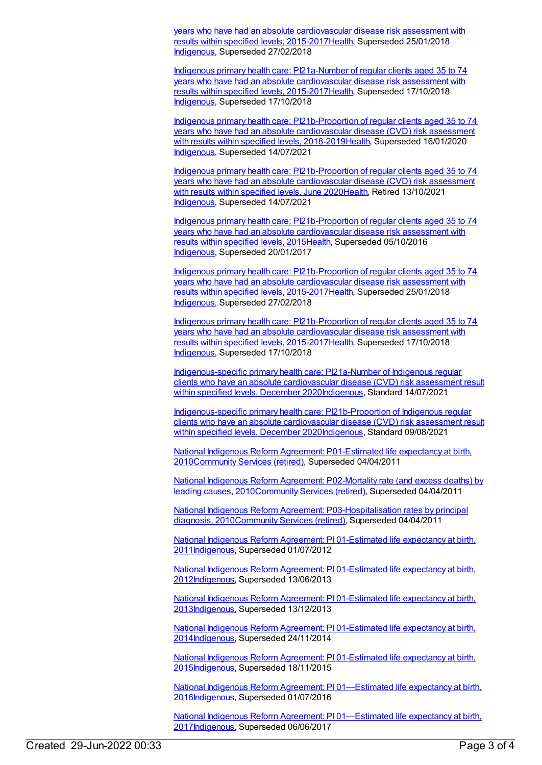years who have had an absolute cardiovascular disease risk assessment with results within specified levels, [2015-2017Health,](https://meteor.aihw.gov.au/content/663978) Superseded 25/01/2018 [Indigenous](https://meteor.aihw.gov.au/RegistrationAuthority/6), Superseded 27/02/2018

Indigenous primary health care: PI21a-Number of regular clients aged 35 to 74 years who have had an absolute cardiovascular disease risk assessment with results within specified levels, [2015-2017Health,](https://meteor.aihw.gov.au/content/686374) Superseded 17/10/2018 [Indigenous](https://meteor.aihw.gov.au/RegistrationAuthority/6), Superseded 17/10/2018

Indigenous primary health care: [PI21b-Proportion](https://meteor.aihw.gov.au/content/688012) of regular clients aged 35 to 74 years who have had an absolute cardiovascular disease (CVD) risk assessment with results within specified levels, 2018-201[9Health](https://meteor.aihw.gov.au/RegistrationAuthority/12), Superseded 16/01/2020 [Indigenous](https://meteor.aihw.gov.au/RegistrationAuthority/6), Superseded 14/07/2021

Indigenous primary health care: [PI21b-Proportion](https://meteor.aihw.gov.au/content/717354) of regular clients aged 35 to 74 years who have had an absolute cardiovascular disease (CVD) risk assessment with results within specified levels, June 2020 Health, Retired 13/10/2021 [Indigenous](https://meteor.aihw.gov.au/RegistrationAuthority/6), Superseded 14/07/2021

Indigenous primary health care: [PI21b-Proportion](https://meteor.aihw.gov.au/content/585230) of regular clients aged 35 to 74 years who have had an absolute cardiovascular disease risk assessment with results within specified levels, 2015[Health](https://meteor.aihw.gov.au/RegistrationAuthority/12), Superseded 05/10/2016 [Indigenous](https://meteor.aihw.gov.au/RegistrationAuthority/6), Superseded 20/01/2017

Indigenous primary health care: [PI21b-Proportion](https://meteor.aihw.gov.au/content/663980) of regular clients aged 35 to 74 years who have had an absolute cardiovascular disease risk assessment with results within specified levels, 2015-2017[Health](https://meteor.aihw.gov.au/RegistrationAuthority/12), Superseded 25/01/2018 [Indigenous](https://meteor.aihw.gov.au/RegistrationAuthority/6), Superseded 27/02/2018

Indigenous primary health care: [PI21b-Proportion](https://meteor.aihw.gov.au/content/686376) of regular clients aged 35 to 74 years who have had an absolute cardiovascular disease risk assessment with results within specified levels, 2015-2017[Health](https://meteor.aihw.gov.au/RegistrationAuthority/12), Superseded 17/10/2018 [Indigenous](https://meteor.aihw.gov.au/RegistrationAuthority/6), Superseded 17/10/2018

[Indigenous-specific](https://meteor.aihw.gov.au/content/739468) primary health care: PI21a-Number of Indigenous regular clients who have an absolute cardiovascular disease (CVD) risk assessment result within specified levels, December 202[0Indigenous](https://meteor.aihw.gov.au/RegistrationAuthority/6), Standard 14/07/2021

[Indigenous-specific](https://meteor.aihw.gov.au/content/739470) primary health care: PI21b-Proportion of Indigenous regular clients who have an absolute cardiovascular disease (CVD) risk assessment result within specified levels, December 202[0Indigenous](https://meteor.aihw.gov.au/RegistrationAuthority/6), Standard 09/08/2021

National Indigenous Reform Agreement: [P01-Estimated](https://meteor.aihw.gov.au/content/396100) life expectancy at birth, 201[0Community](https://meteor.aihw.gov.au/RegistrationAuthority/1) Services (retired), Superseded 04/04/2011

National Indigenous Reform Agreement: P02-Mortality rate (and excess deaths) by leading causes, [2010Community](https://meteor.aihw.gov.au/content/396109) Services (retired), Superseded 04/04/2011

National Indigenous Reform Agreement: [P03-Hospitalisation](https://meteor.aihw.gov.au/content/396194) rates by principal diagnosis, 201[0Community](https://meteor.aihw.gov.au/RegistrationAuthority/1) Services (retired), Superseded 04/04/2011

National Indigenous Reform Agreement: PI 01-Estimated life expectancy at birth, [2011Indigenous,](https://meteor.aihw.gov.au/content/425733) Superseded 01/07/2012

National Indigenous Reform Agreement: PI 01-Estimated life expectancy at birth, [2012](https://meteor.aihw.gov.au/content/438556)[Indigenou](https://meteor.aihw.gov.au/RegistrationAuthority/6)[s,](https://meteor.aihw.gov.au/content/438556) Superseded 13/06/2013

National Indigenous Reform Agreement: PI 01-Estimated life expectancy at birth, [2013Indigenous,](https://meteor.aihw.gov.au/content/482839) Superseded 13/12/2013

National Indigenous Reform Agreement: PI 01-Estimated life expectancy at birth, [2014Indigenous,](https://meteor.aihw.gov.au/content/525818) Superseded 24/11/2014

National Indigenous Reform Agreement: PI 01-Estimated life expectancy at birth, [2015Indigenous,](https://meteor.aihw.gov.au/content/579062) Superseded 18/11/2015

National Indigenous Reform Agreement: PI [01—Estimated](https://meteor.aihw.gov.au/content/611124) life expectancy at birth, 201[6Indigenous](https://meteor.aihw.gov.au/RegistrationAuthority/6), Superseded 01/07/2016

National Indigenous Reform Agreement: PI [01—Estimated](https://meteor.aihw.gov.au/content/645382) life expectancy at birth, 201[7Indigenous](https://meteor.aihw.gov.au/RegistrationAuthority/6), Superseded 06/06/2017